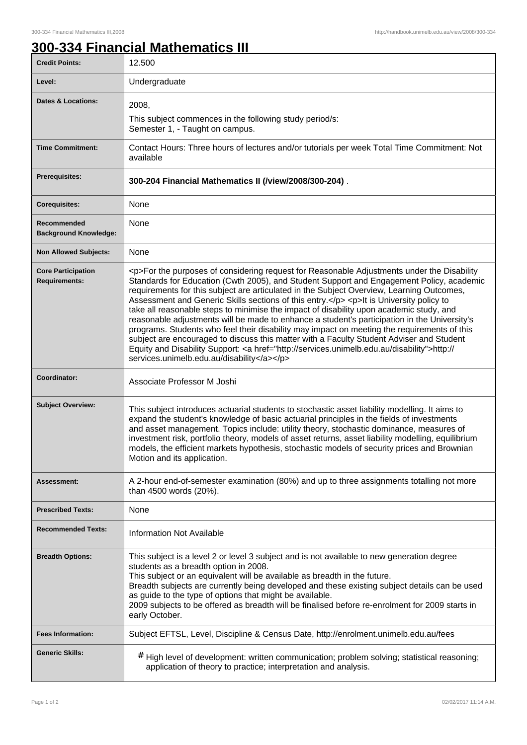## **300-334 Financial Mathematics III**

| <b>Credit Points:</b>                             | 12.500                                                                                                                                                                                                                                                                                                                                                                                                                                                                                                                                                                                                                                                                                                                                                                                                                                                                                                                       |
|---------------------------------------------------|------------------------------------------------------------------------------------------------------------------------------------------------------------------------------------------------------------------------------------------------------------------------------------------------------------------------------------------------------------------------------------------------------------------------------------------------------------------------------------------------------------------------------------------------------------------------------------------------------------------------------------------------------------------------------------------------------------------------------------------------------------------------------------------------------------------------------------------------------------------------------------------------------------------------------|
| Level:                                            | Undergraduate                                                                                                                                                                                                                                                                                                                                                                                                                                                                                                                                                                                                                                                                                                                                                                                                                                                                                                                |
| <b>Dates &amp; Locations:</b>                     | 2008,                                                                                                                                                                                                                                                                                                                                                                                                                                                                                                                                                                                                                                                                                                                                                                                                                                                                                                                        |
|                                                   | This subject commences in the following study period/s:<br>Semester 1, - Taught on campus.                                                                                                                                                                                                                                                                                                                                                                                                                                                                                                                                                                                                                                                                                                                                                                                                                                   |
| <b>Time Commitment:</b>                           | Contact Hours: Three hours of lectures and/or tutorials per week Total Time Commitment: Not<br>available                                                                                                                                                                                                                                                                                                                                                                                                                                                                                                                                                                                                                                                                                                                                                                                                                     |
| <b>Prerequisites:</b>                             | 300-204 Financial Mathematics II (/view/2008/300-204).                                                                                                                                                                                                                                                                                                                                                                                                                                                                                                                                                                                                                                                                                                                                                                                                                                                                       |
| <b>Corequisites:</b>                              | None                                                                                                                                                                                                                                                                                                                                                                                                                                                                                                                                                                                                                                                                                                                                                                                                                                                                                                                         |
| Recommended<br><b>Background Knowledge:</b>       | None                                                                                                                                                                                                                                                                                                                                                                                                                                                                                                                                                                                                                                                                                                                                                                                                                                                                                                                         |
| <b>Non Allowed Subjects:</b>                      | None                                                                                                                                                                                                                                                                                                                                                                                                                                                                                                                                                                                                                                                                                                                                                                                                                                                                                                                         |
| <b>Core Participation</b><br><b>Requirements:</b> | <p>For the purposes of considering request for Reasonable Adjustments under the Disability<br/>Standards for Education (Cwth 2005), and Student Support and Engagement Policy, academic<br/>requirements for this subject are articulated in the Subject Overview, Learning Outcomes,<br/>Assessment and Generic Skills sections of this entry.</p> <p>lt is University policy to<br/>take all reasonable steps to minimise the impact of disability upon academic study, and<br/>reasonable adjustments will be made to enhance a student's participation in the University's<br/>programs. Students who feel their disability may impact on meeting the requirements of this<br/>subject are encouraged to discuss this matter with a Faculty Student Adviser and Student<br/>Equity and Disability Support: &lt; a href="http://services.unimelb.edu.au/disability"&gt;http://<br/>services.unimelb.edu.au/disability</p> |
| Coordinator:                                      | Associate Professor M Joshi                                                                                                                                                                                                                                                                                                                                                                                                                                                                                                                                                                                                                                                                                                                                                                                                                                                                                                  |
| <b>Subject Overview:</b>                          | This subject introduces actuarial students to stochastic asset liability modelling. It aims to<br>expand the student's knowledge of basic actuarial principles in the fields of investments<br>and asset management. Topics include: utility theory, stochastic dominance, measures of<br>investment risk, portfolio theory, models of asset returns, asset liability modelling, equilibrium<br>models, the efficient markets hypothesis, stochastic models of security prices and Brownian<br>Motion and its application.                                                                                                                                                                                                                                                                                                                                                                                                   |
| Assessment:                                       | A 2-hour end-of-semester examination (80%) and up to three assignments totalling not more<br>than 4500 words (20%).                                                                                                                                                                                                                                                                                                                                                                                                                                                                                                                                                                                                                                                                                                                                                                                                          |
| <b>Prescribed Texts:</b>                          | None                                                                                                                                                                                                                                                                                                                                                                                                                                                                                                                                                                                                                                                                                                                                                                                                                                                                                                                         |
| <b>Recommended Texts:</b>                         | <b>Information Not Available</b>                                                                                                                                                                                                                                                                                                                                                                                                                                                                                                                                                                                                                                                                                                                                                                                                                                                                                             |
| <b>Breadth Options:</b>                           | This subject is a level 2 or level 3 subject and is not available to new generation degree<br>students as a breadth option in 2008.<br>This subject or an equivalent will be available as breadth in the future.<br>Breadth subjects are currently being developed and these existing subject details can be used<br>as guide to the type of options that might be available.<br>2009 subjects to be offered as breadth will be finalised before re-enrolment for 2009 starts in<br>early October.                                                                                                                                                                                                                                                                                                                                                                                                                           |
| <b>Fees Information:</b>                          | Subject EFTSL, Level, Discipline & Census Date, http://enrolment.unimelb.edu.au/fees                                                                                                                                                                                                                                                                                                                                                                                                                                                                                                                                                                                                                                                                                                                                                                                                                                         |
| <b>Generic Skills:</b>                            | # High level of development: written communication; problem solving; statistical reasoning;<br>application of theory to practice; interpretation and analysis.                                                                                                                                                                                                                                                                                                                                                                                                                                                                                                                                                                                                                                                                                                                                                               |